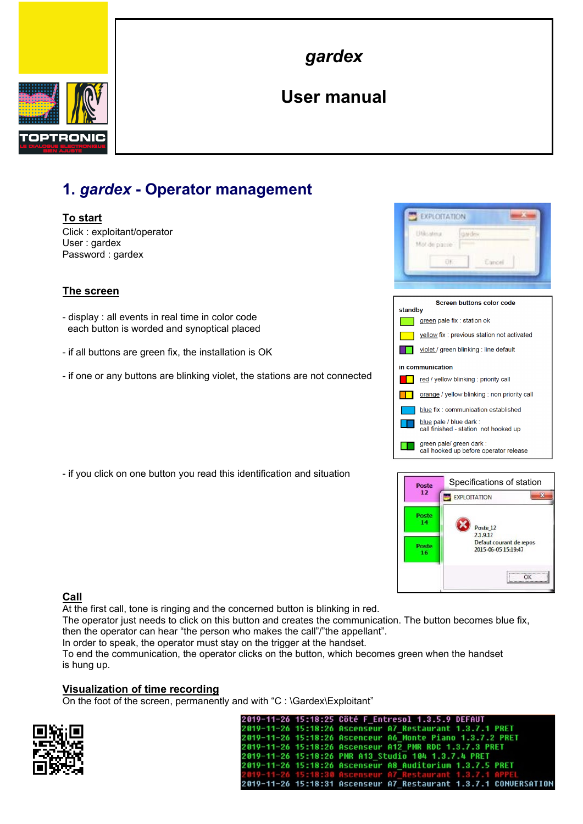

*gardex*

# **User manual**

## **1.** *gardex* **- Operator management**

## **To start**

Click : exploitant/operator User : gardex Password : gardex

## **The screen**

- display : all events in real time in color code each button is worded and synoptical placed
- if all buttons are green fix, the installation is OK
- if one or any buttons are blinking violet, the stations are not connected

- if you click on one button you read this identification and situation





## **Call**

At the first call, tone is ringing and the concerned button is blinking in red.

The operator just needs to click on this button and creates the communication. The button becomes blue fix, then the operator can hear "the person who makes the call"/"the appellant".

In order to speak, the operator must stay on the trigger at the handset.

To end the communication, the operator clicks on the button, which becomes green when the handset is hung up.

#### **Visualization of time recording**

On the foot of the screen, permanently and with "C : \Gardex\Exploitant"



| 2019-11-26 15:18:25 Côté F Entresol 1.3.5.9 DEFAUT               |
|------------------------------------------------------------------|
| 2019-11-26 15:18:26 Ascenseur A7 Restaurant 1.3.7.1 PRET         |
| 2019-11-26 15:18:26 Ascenceur A6 Monte Piano 1.3.7.2 PRET        |
| 2019-11-26 15:18:26 Ascenseur A12 PMR RDC 1.3.7.3 PRET           |
| 2019-11-26 15:18:26 PMR A13 Studio 104 1.3.7.4 PRET              |
| 2019-11-26 15:18:26 Ascenseur A8 Auditorium 1.3.7.5 PRET         |
| 2019-11-26 15:18:30 Ascenseur A7 Restaurant 1.3.7.1 APPEL        |
| 2010-11-26 15:18:31 Ascenseur A7 Restaurant 1.3.7.1 CONUERSATION |